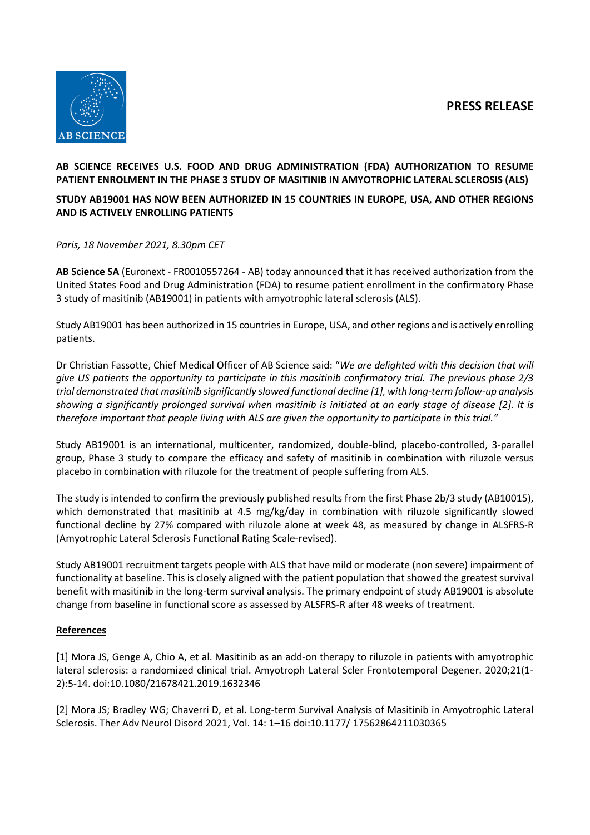# **PRESS RELEASE**



## **AB SCIENCE RECEIVES U.S. FOOD AND DRUG ADMINISTRATION (FDA) AUTHORIZATION TO RESUME PATIENT ENROLMENT IN THE PHASE 3 STUDY OF MASITINIB IN AMYOTROPHIC LATERAL SCLEROSIS (ALS)**

# **STUDY AB19001 HAS NOW BEEN AUTHORIZED IN 15 COUNTRIES IN EUROPE, USA, AND OTHER REGIONS AND IS ACTIVELY ENROLLING PATIENTS**

## *Paris, 18 November 2021, 8.30pm CET*

**AB Science SA** (Euronext - FR0010557264 - AB) today announced that it has received authorization from the United States Food and Drug Administration (FDA) to resume patient enrollment in the confirmatory Phase 3 study of masitinib (AB19001) in patients with amyotrophic lateral sclerosis (ALS).

Study AB19001 has been authorized in 15 countries in Europe, USA, and other regions and is actively enrolling patients.

Dr Christian Fassotte, Chief Medical Officer of AB Science said: "*We are delighted with this decision that will give US patients the opportunity to participate in this masitinib confirmatory trial. The previous phase 2/3 trial demonstrated that masitinib significantly slowed functional decline [1], with long-term follow-up analysis showing a significantly prolonged survival when masitinib is initiated at an early stage of disease [2]. It is therefore important that people living with ALS are given the opportunity to participate in this trial."*

Study AB19001 is an international, multicenter, randomized, double-blind, placebo-controlled, 3-parallel group, Phase 3 study to compare the efficacy and safety of masitinib in combination with riluzole versus placebo in combination with riluzole for the treatment of people suffering from ALS.

The study is intended to confirm the previously published results from the first Phase 2b/3 study (AB10015), which demonstrated that masitinib at 4.5 mg/kg/day in combination with riluzole significantly slowed functional decline by 27% compared with riluzole alone at week 48, as measured by change in ALSFRS-R (Amyotrophic Lateral Sclerosis Functional Rating Scale-revised).

Study AB19001 recruitment targets people with ALS that have mild or moderate (non severe) impairment of functionality at baseline. This is closely aligned with the patient population that showed the greatest survival benefit with masitinib in the long-term survival analysis. The primary endpoint of study AB19001 is absolute change from baseline in functional score as assessed by ALSFRS-R after 48 weeks of treatment.

## **References**

[1] Mora JS, Genge A, Chio A, et al. Masitinib as an add-on therapy to riluzole in patients with amyotrophic lateral sclerosis: a randomized clinical trial. Amyotroph Lateral Scler Frontotemporal Degener. 2020;21(1-2):5-14. doi:10.1080/21678421.2019.1632346

[2] Mora JS; Bradley WG; Chaverri D, et al. Long-term Survival Analysis of Masitinib in Amyotrophic Lateral Sclerosis. Ther Adv Neurol Disord 2021, Vol. 14: 1–16 doi:10.1177/ 17562864211030365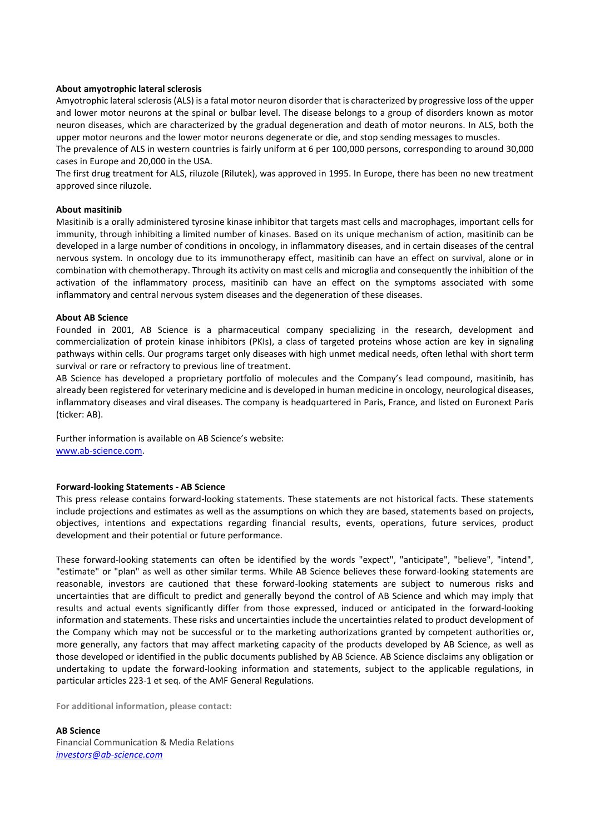### **About amyotrophic lateral sclerosis**

Amyotrophic lateral sclerosis (ALS) is a fatal motor neuron disorder that is characterized by progressive loss of the upper and lower motor neurons at the spinal or bulbar level. The disease belongs to a group of disorders known as motor neuron diseases, which are characterized by the gradual degeneration and death of motor neurons. In ALS, both the upper motor neurons and the lower motor neurons degenerate or die, and stop sending messages to muscles.

The prevalence of ALS in western countries is fairly uniform at 6 per 100,000 persons, corresponding to around 30,000 cases in Europe and 20,000 in the USA.

The first drug treatment for ALS, riluzole (Rilutek), was approved in 1995. In Europe, there has been no new treatment approved since riluzole.

#### **About masitinib**

Masitinib is a orally administered tyrosine kinase inhibitor that targets mast cells and macrophages, important cells for immunity, through inhibiting a limited number of kinases. Based on its unique mechanism of action, masitinib can be developed in a large number of conditions in oncology, in inflammatory diseases, and in certain diseases of the central nervous system. In oncology due to its immunotherapy effect, masitinib can have an effect on survival, alone or in combination with chemotherapy. Through its activity on mast cells and microglia and consequently the inhibition of the activation of the inflammatory process, masitinib can have an effect on the symptoms associated with some inflammatory and central nervous system diseases and the degeneration of these diseases.

### **About AB Science**

Founded in 2001, AB Science is a pharmaceutical company specializing in the research, development and commercialization of protein kinase inhibitors (PKIs), a class of targeted proteins whose action are key in signaling pathways within cells. Our programs target only diseases with high unmet medical needs, often lethal with short term survival or rare or refractory to previous line of treatment.

AB Science has developed a proprietary portfolio of molecules and the Company's lead compound, masitinib, has already been registered for veterinary medicine and is developed in human medicine in oncology, neurological diseases, inflammatory diseases and viral diseases. The company is headquartered in Paris, France, and listed on Euronext Paris (ticker: AB).

Further information is available on AB Science's website: [www.ab-science.com.](http://www.ab-science.com/)

#### **Forward-looking Statements - AB Science**

This press release contains forward-looking statements. These statements are not historical facts. These statements include projections and estimates as well as the assumptions on which they are based, statements based on projects, objectives, intentions and expectations regarding financial results, events, operations, future services, product development and their potential or future performance.

These forward-looking statements can often be identified by the words "expect", "anticipate", "believe", "intend", "estimate" or "plan" as well as other similar terms. While AB Science believes these forward-looking statements are reasonable, investors are cautioned that these forward-looking statements are subject to numerous risks and uncertainties that are difficult to predict and generally beyond the control of AB Science and which may imply that results and actual events significantly differ from those expressed, induced or anticipated in the forward-looking information and statements. These risks and uncertainties include the uncertainties related to product development of the Company which may not be successful or to the marketing authorizations granted by competent authorities or, more generally, any factors that may affect marketing capacity of the products developed by AB Science, as well as those developed or identified in the public documents published by AB Science. AB Science disclaims any obligation or undertaking to update the forward-looking information and statements, subject to the applicable regulations, in particular articles 223-1 et seq. of the AMF General Regulations.

**For additional information, please contact:**

**AB Science** Financial Communication & Media Relations *[investors@ab-science.com](mailto:investors@ab-science.com)*